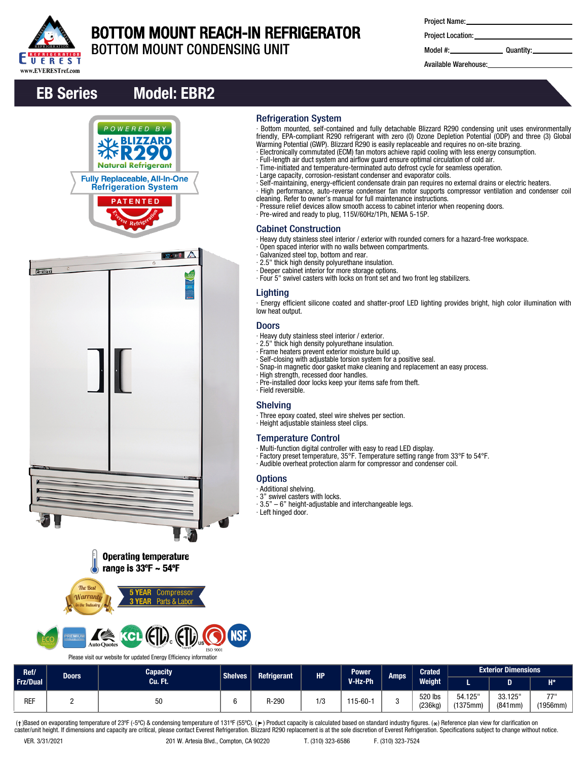

# BOTTOM MOUNT REACH-IN REFRIGERATOR

Refrigeration System

Cabinet Construction

Lighting

low heat output. Doors

∙ Field reversible. Shelving

**Options** ∙ Additional shelving. ∙ 3" swivel casters with locks.

∙ Left hinged door.

∙ Galvanized steel top, bottom and rear. ∙ 2.5" thick high density polyurethane insulation. ∙ Deeper cabinet interior for more storage options.

∙ Heavy duty stainless steel interior / exterior. ∙ 2.5" thick high density polyurethane insulation. ∙ Frame heaters prevent exterior moisture build up.

∙ High strength, recessed door handles.

∙ Height adjustable stainless steel clips.

Temperature Control

BOTTOM MOUNT CONDENSING UNIT

| <b>Project Name:</b> |  |
|----------------------|--|
|----------------------|--|

∙ Bottom mounted, self-contained and fully detachable Blizzard R290 condensing unit uses environmentally friendly, EPA-compliant R290 refrigerant with zero (0) Ozone Depletion Potential (ODP) and three (3) Global

∙ Self-maintaining, energy-efficient condensate drain pan requires no external drains or electric heaters. ∙ High performance, auto-reverse condenser fan motor supports compressor ventilation and condenser coil

∙ Energy efficient silicone coated and shatter-proof LED lighting provides bright, high color illumination with

Warming Potential (GWP). Blizzard R290 is easily replaceable and requires no on-site brazing. ∙ Electronically commutated (ECM) fan motors achieve rapid cooling with less energy consumption.

∙ Full-length air duct system and airflow guard ensure optimal circulation of cold air. ∙ Time-initiated and temperature-terminated auto defrost cycle for seamless operation.

∙ Pressure relief devices allow smooth access to cabinet interior when reopening doors.

∙ Heavy duty stainless steel interior / exterior with rounded corners for a hazard-free workspace.

∙ Large capacity, corrosion-resistant condenser and evaporator coils.

cleaning. Refer to owner's manual for full maintenance instructions.

∙ Four 5" swivel casters with locks on front set and two front leg stabilizers.

∙ Snap-in magnetic door gasket make cleaning and replacement an easy process.

∙ Factory preset temperature, 35°F. Temperature setting range from 33°F to 54°F. ∙ Audible overheat protection alarm for compressor and condenser coil.

∙ Pre-wired and ready to plug, 115V/60Hz/1Ph, NEMA 5-15P.

∙ Open spaced interior with no walls between compartments.

∙ Self-closing with adjustable torsion system for a positive seal.

∙ Multi-function digital controller with easy to read LED display.

∙ Pre-installed door locks keep your items safe from theft.

∙ Three epoxy coated, steel wire shelves per section.

∙ 3.5" – 6" height-adjustable and interchangeable legs.

Project Location:

Model #: Quantity:

Available Warehouse:

## EB Series Model: EBR2









#### **II** We KCL EID EID **ISO 9001**

Please visit our website for updated Energy Efficiency information

#### **Capacity** Cu. Ft. Shelves Refrigerant HP Power V-Hz-Ph Amps Crated Weight L D H\* Exterior Dimensions Ref/ Doors Frz/Dual 54.125" (1375mm) 33.125" (841mm) 77" (1956mm) 520 lbs REF 2 | 50 50 | 6 | R-290 | 1/3 | 115-60-1 | 3 | 220 ilo

(†)Based on evaporating temperature of 23ºF (-5ºC) & condensing temperature of 131ºF (55ºC). (ך) Product capacity is calculated based on standard industry figures. (\*) Reference plan view for clarification on<br>caster/unit h